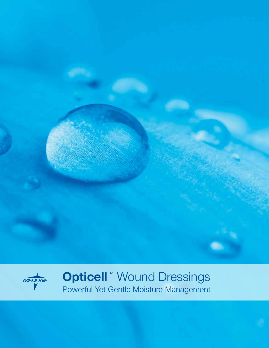



Opticell™ Wound Dressings Powerful Yet Gentle Moisture Management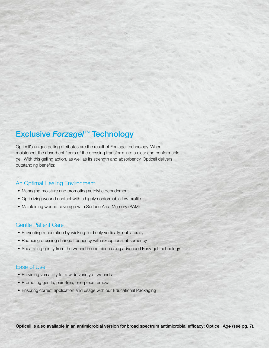## **Exclusive Forzagel™ Technology**

Opticell's unique gelling attributes are the result of Forzagel technology. When moistened, the absorbent fibers of the dressing transform into a clear and conformable gel. With this gelling action, as well as its strength and absorbency, Opticell delivers outstanding benefits:

#### An Optimal Healing Environment

- Managing moisture and promoting autolytic debridement
- Optimizing wound contact with a highly conformable low profile
- Maintaining wound coverage with Surface Area Memory (SAM)

#### Gentle Patient Care

- Preventing maceration by wicking fluid only vertically, not laterally
- Reducing dressing change frequency with exceptional absorbency
- Separating gently from the wound in one piece using advanced Forzagel technology

#### Ease of Use

- Providing versatility for a wide variety of wounds
- Promoting gentle, pain-free, one-piece removal
- Ensuring correct application and usage with our Educational Packaging

Opticell is also available in an antimicrobial version for broad spectrum antimicrobial efficacy: Opticell Ag+ (see pg. 7).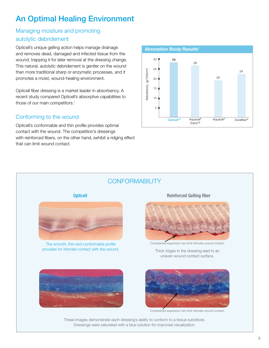## An Optimal Healing Environment

### Managing moisture and promoting autolytic debridement

Opticell's unique gelling action helps manage drainage and removes dead, damaged and infected tissue from the wound, trapping it for later removal at the dressing change. This natural, autolytic debridement is gentler on the wound than more traditional sharp or enzymatic processes, and it promotes a moist, wound-healing environment.

Opticell fiber dressing is a market leader in absorbency. A recent study compared Opticell's absorptive capabilities to those of our main competitors.<sup>1</sup>

#### Conforming to the wound

Opticell's conformable and thin profile provides optimal contact with the wound. The competition's dressings with reinforced fibers, on the other hand, exhibit a ridging effect that can limit wound contact.



## **CONFORMABILITY**



The smooth, thin and conformable profile provides for intimate contact with the wound. Thick ridges in the dressing lead to an



Constrained expansion can limit intimate wound contact.

uneven wound contact surface.





Constrained expansion can limit intimate wound contact.

These images demonstrate each dressing's ability to conform to a tissue substitute. Dressings were saturated with a blue solution for improved visualization.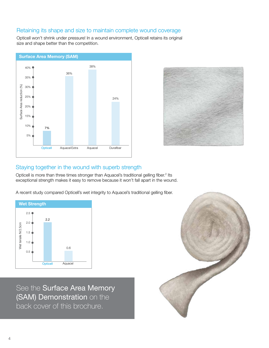#### Retaining its shape and size to maintain complete wound coverage

Opticell won't shrink under pressure! In a wound environment, Opticell retains its original size and shape better than the competition.





#### Staying together in the wound with superb strength

Opticell is more than three times stronger than Aquacel's traditional gelling fiber.<sup>2</sup> Its exceptional strength makes it easy to remove because it won't fall apart in the wound.

A recent study compared Opticell's wet integrity to Aquacel's traditional gelling fiber.



See the Surface Area Memory (SAM) Demonstration on the back cover of this brochure.

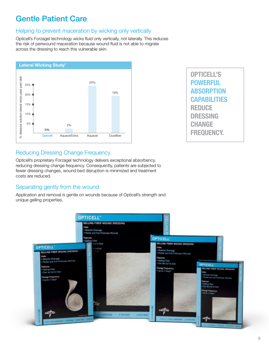## Gentle Patient Care

### Helping to prevent maceration by wicking only vertically

Opticell's Forzagel technology wicks fluid only vertically, not laterally. This reduces the risk of periwound maceration because wound fluid is not able to migrate across the dressing to reach this vulnerable skin.



Opticell's **POWERFUL ABSORPTION CAPABILITIES REDUCE DRESSING CHANGE FREQUENCY.** 

### Reducing Dressing Change Frequency

Opticell's proprietary Forzagel technology delivers exceptional absorbency, reducing dressing change frequency. Consequently, patients are subjected to fewer dressing changes, wound bed disruption is minimized and treatment costs are reduced.

## Separating gently from the wound

Application and removal is gentle on wounds because of Opticell's strength and unique gelling properties.

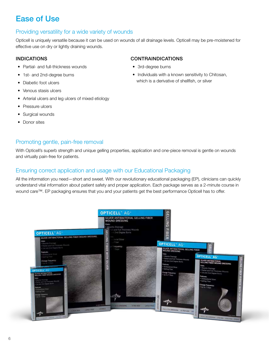## Ease of Use

### Providing versatility for a wide variety of wounds

Opticell is uniquely versatile because it can be used on wounds of all drainage levels. Opticell may be pre-moistened for effective use on dry or lightly draining wounds.

#### **INDICATIONS**

- Partial- and full-thickness wounds
- 1st- and 2nd-degree burns
- Diabetic foot ulcers
- Venous stasis ulcers
- Arterial ulcers and leg ulcers of mixed etiology
- Pressure ulcers
- Surgical wounds
- Donor sites

#### **CONTRAINDICATIONS**

- 3rd-degree burns
- Individuals with a known sensitivity to Chitosan, which is a derivative of shellfish, or silver

### Promoting gentle, pain-free removal

With Opticell's superb strength and unique gelling properties, application and one-piece removal is gentle on wounds and virtually pain-free for patients.

### Ensuring correct application and usage with our Educational Packaging

All the information you need—short and sweet. With our revolutionary educational packaging (EP), clinicians can quickly understand vital information about patient safety and proper application. Each package serves as a 2-minute course in wound care™. EP packaging ensures that you and your patients get the best performance Opticell has to offer.

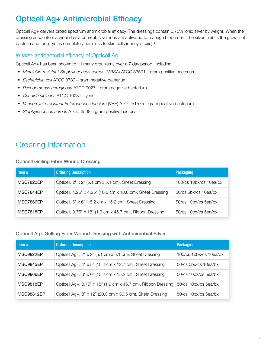# Opticell Ag+ Antimicrobial Efficacy

Opticell Ag+ delivers broad spectrum antimicrobial efficacy. The dressings contain 0.75% ionic silver by weight. When the dressing encounters a wound environment, silver ions are activated to manage bioburden. The silver inhibits the growth of bacteria and fungi, yet is completely harmless to skin cells (noncytotoxic).<sup>3</sup>

## *In Vitro* antibacterial efficacy of Opticell Ag+

Opticell Ag+ has been shown to kill many organisms over a 7 day period, including:<sup>3</sup>

- *Methicillin-resistant Staphylococcus aureus* (MRSA) ATCC 33591—gram positive bacterium
- *Escherichia coli* ATCC 8739—gram negative bacterium
- *Pseudomonas aeruginosa* ATCC 9027—gram negative bacterium
- *Candida albicans* ATCC 10231—yeast
- *Vancomycin-resistant Enterococcus faecium* (VRE) ATCC 51575—gram positive bacterium
- *Staphylococcus aureus* ATCC 6538—gram positive bacteria

## Ordering Information

#### Opticell Gelling Fiber Wound Dressing

| l Item #         | <b>Ordering Description</b>                                 | Packaging                    |
|------------------|-------------------------------------------------------------|------------------------------|
| <b>MSC7822EP</b> | Opticell, 2" x 2" (5.1 cm x 5.1 cm), Sheet Dressing         | 100/cs 10bx/cs 10ea/bx       |
| MSC7844EP        | Opticell, 4.25" x 4.25" (10.8 cm x 10.8 cm), Sheet Dressing | 50/cs 5bx/cs 10ea/bx         |
| MSC7866EP        | Opticell, 6" x 6" (15.2 cm x 15.2 cm), Sheet Dressing       | 50/cs 10bx/cs 5ea/bx         |
| <b>MSC7818EP</b> | Opticell, 0.75" x 18" (1.9 cm x 45.7 cm), Ribbon Dressing   | $50$ /cs $10$ bx/cs $5ea/bx$ |

#### Opticell Ag+ Gelling Fiber Wound Dressing with Antimicrobial Silver

| l Item #         | <b>Ordering Description</b>                                   | Packaging                     |
|------------------|---------------------------------------------------------------|-------------------------------|
| <b>MSC9822EP</b> | Opticell Ag+, 2" x 2" (5.1 cm x 5.1 cm), Sheet Dressing       | 100/cs 10bx/cs 10ea/bx        |
| <b>MSC9845EP</b> | Opticell Ag+, 4" x 5" (10.2 cm x 12.7 cm), Sheet Dressing     | $50$ /cs $5bx$ /cs $10ea$ /bx |
| MSC9866EP        | Opticell Ag+, 6" x 6" (15.2 cm x 15.2 cm), Sheet Dressing     | 50/cs 10bx/cs 5ea/bx          |
| <b>MSC9818EP</b> | Opticell Ag+, 0.75" x 18" (1.9 cm x 45.7 cm), Ribbon Dressing | 50/cs 10bx/cs 5ea/bx          |
| MSC98812EP       | Opticell Ag+, 8" x 12" (20.3 cm x 30.5 cm), Sheet Dressing    | $50/cs$ 10bx/cs 5ea/bx        |